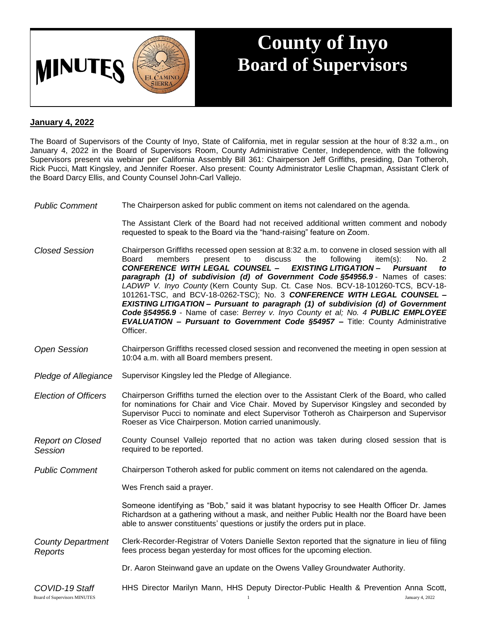

## **County of Inyo Board of Supervisors**

## **January 4, 2022**

The Board of Supervisors of the County of Inyo, State of California, met in regular session at the hour of 8:32 a.m., on January 4, 2022 in the Board of Supervisors Room, County Administrative Center, Independence, with the following Supervisors present via webinar per California Assembly Bill 361: Chairperson Jeff Griffiths, presiding, Dan Totheroh, Rick Pucci, Matt Kingsley, and Jennifer Roeser. Also present: County Administrator Leslie Chapman, Assistant Clerk of the Board Darcy Ellis, and County Counsel John-Carl Vallejo.

*Public Comment* The Chairperson asked for public comment on items not calendared on the agenda.

The Assistant Clerk of the Board had not received additional written comment and nobody requested to speak to the Board via the "hand-raising" feature on Zoom.

- *Closed Session* Chairperson Griffiths recessed open session at 8:32 a.m. to convene in closed session with all Board members present to discuss the following item(s): No. 2 *CONFERENCE WITH LEGAL COUNSEL – EXISTING LITIGATION* **–** *Pursuant to paragraph (1) of subdivision (d) of Government Code §54956.9* - Names of cases: *LADWP V. Inyo County* (Kern County Sup. Ct. Case Nos. BCV-18-101260-TCS, BCV-18- 101261-TSC, and BCV-18-0262-TSC); No. 3 *CONFERENCE WITH LEGAL COUNSEL – EXISTING LITIGATION* **–** *Pursuant to paragraph (1) of subdivision (d) of Government Code §54956.9* - Name of case: *Berrey v. Inyo County et al; No. 4 PUBLIC EMPLOYEE EVALUATION – Pursuant to Government Code §54957 –* Title: County Administrative Officer.
- *Open Session* Chairperson Griffiths recessed closed session and reconvened the meeting in open session at 10:04 a.m. with all Board members present.
- *Pledge of Allegiance* Supervisor Kingsley led the Pledge of Allegiance.
- *Election of Officers* Chairperson Griffiths turned the election over to the Assistant Clerk of the Board, who called for nominations for Chair and Vice Chair. Moved by Supervisor Kingsley and seconded by Supervisor Pucci to nominate and elect Supervisor Totheroh as Chairperson and Supervisor Roeser as Vice Chairperson. Motion carried unanimously.
- *Report on Closed Session* County Counsel Vallejo reported that no action was taken during closed session that is required to be reported.
- *Public Comment* Chairperson Totheroh asked for public comment on items not calendared on the agenda.

Wes French said a prayer.

Someone identifying as "Bob," said it was blatant hypocrisy to see Health Officer Dr. James Richardson at a gathering without a mask, and neither Public Health nor the Board have been able to answer constituents' questions or justify the orders put in place.

- *County Department Reports* Clerk-Recorder-Registrar of Voters Danielle Sexton reported that the signature in lieu of filing fees process began yesterday for most offices for the upcoming election.
	- Dr. Aaron Steinwand gave an update on the Owens Valley Groundwater Authority.
- *COVID-19 Staff* HHS Director Marilyn Mann, HHS Deputy Director-Public Health & Prevention Anna Scott,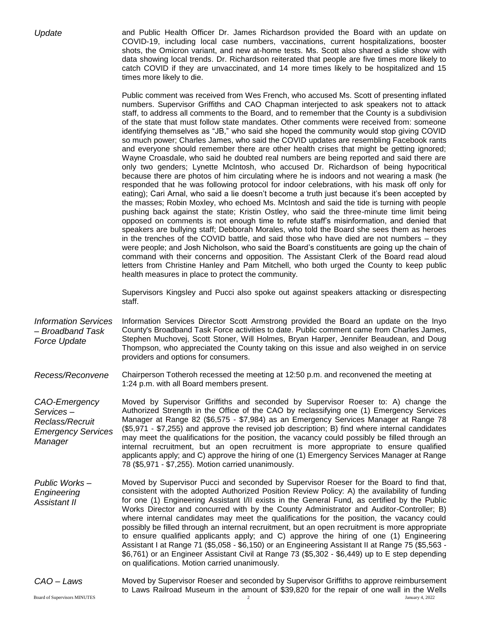|  | Update |
|--|--------|
|--|--------|

*Update* and Public Health Officer Dr. James Richardson provided the Board with an update on COVID-19, including local case numbers, vaccinations, current hospitalizations, booster shots, the Omicron variant, and new at-home tests. Ms. Scott also shared a slide show with data showing local trends. Dr. Richardson reiterated that people are five times more likely to catch COVID if they are unvaccinated, and 14 more times likely to be hospitalized and 15 times more likely to die.

Public comment was received from Wes French, who accused Ms. Scott of presenting inflated numbers. Supervisor Griffiths and CAO Chapman interjected to ask speakers not to attack staff, to address all comments to the Board, and to remember that the County is a subdivision of the state that must follow state mandates. Other comments were received from: someone identifying themselves as "JB," who said she hoped the community would stop giving COVID so much power; Charles James, who said the COVID updates are resembling Facebook rants and everyone should remember there are other health crises that might be getting ignored; Wayne Croasdale, who said he doubted real numbers are being reported and said there are only two genders; Lynette McIntosh, who accused Dr. Richardson of being hypocritical because there are photos of him circulating where he is indoors and not wearing a mask (he responded that he was following protocol for indoor celebrations, with his mask off only for eating); Cari Arnal, who said a lie doesn't become a truth just because it's been accepted by the masses; Robin Moxley, who echoed Ms. McIntosh and said the tide is turning with people pushing back against the state; Kristin Ostley, who said the three-minute time limit being opposed on comments is not enough time to refute staff's misinformation, and denied that speakers are bullying staff; Debborah Morales, who told the Board she sees them as heroes in the trenches of the COVID battle, and said those who have died are not numbers – they were people; and Josh Nicholson, who said the Board's constituents are going up the chain of command with their concerns and opposition. The Assistant Clerk of the Board read aloud letters from Christine Hanley and Pam Mitchell, who both urged the County to keep public health measures in place to protect the community.

Supervisors Kingsley and Pucci also spoke out against speakers attacking or disrespecting staff.

- *Information Services – Broadband Task Force Update* Information Services Director Scott Armstrong provided the Board an update on the Inyo County's Broadband Task Force activities to date. Public comment came from Charles James, Stephen Muchovej, Scott Stoner, Will Holmes, Bryan Harper, Jennifer Beaudean, and Doug Thompson, who appreciated the County taking on this issue and also weighed in on service providers and options for consumers.
- *Recess/Reconvene* Chairperson Totheroh recessed the meeting at 12:50 p.m. and reconvened the meeting at 1:24 p.m. with all Board members present.

*CAO-Emergency Services – Reclass/Recruit Emergency Services Manager* Moved by Supervisor Griffiths and seconded by Supervisor Roeser to: A) change the Authorized Strength in the Office of the CAO by reclassifying one (1) Emergency Services Manager at Range 82 (\$6,575 - \$7,984) as an Emergency Services Manager at Range 78 (\$5,971 - \$7,255) and approve the revised job description; B) find where internal candidates may meet the qualifications for the position, the vacancy could possibly be filled through an internal recruitment, but an open recruitment is more appropriate to ensure qualified applicants apply; and C) approve the hiring of one (1) Emergency Services Manager at Range 78 (\$5,971 - \$7,255). Motion carried unanimously.

*Public Works – Engineering Assistant II* Moved by Supervisor Pucci and seconded by Supervisor Roeser for the Board to find that, consistent with the adopted Authorized Position Review Policy: A) the availability of funding for one (1) Engineering Assistant I/II exists in the General Fund, as certified by the Public Works Director and concurred with by the County Administrator and Auditor-Controller; B) where internal candidates may meet the qualifications for the position, the vacancy could possibly be filled through an internal recruitment, but an open recruitment is more appropriate to ensure qualified applicants apply; and C) approve the hiring of one (1) Engineering Assistant I at Range 71 (\$5,058 - \$6,150) or an Engineering Assistant II at Range 75 (\$5,563 - \$6,761) or an Engineer Assistant Civil at Range 73 (\$5,302 - \$6,449) up to E step depending on qualifications. Motion carried unanimously.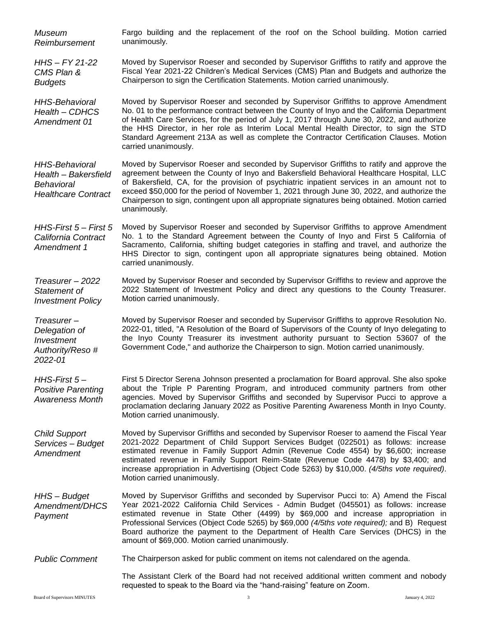| Museum<br>Reimbursement                                                                   | Fargo building and the replacement of the roof on the School building. Motion carried<br>unanimously.                                                                                                                                                                                                                                                                                                                                                                                                         |
|-------------------------------------------------------------------------------------------|---------------------------------------------------------------------------------------------------------------------------------------------------------------------------------------------------------------------------------------------------------------------------------------------------------------------------------------------------------------------------------------------------------------------------------------------------------------------------------------------------------------|
| $H$ HS - $FY$ 21-22<br>CMS Plan &<br><b>Budgets</b>                                       | Moved by Supervisor Roeser and seconded by Supervisor Griffiths to ratify and approve the<br>Fiscal Year 2021-22 Children's Medical Services (CMS) Plan and Budgets and authorize the<br>Chairperson to sign the Certification Statements. Motion carried unanimously.                                                                                                                                                                                                                                        |
| <b>HHS-Behavioral</b><br>Health - CDHCS<br>Amendment 01                                   | Moved by Supervisor Roeser and seconded by Supervisor Griffiths to approve Amendment<br>No. 01 to the performance contract between the County of Inyo and the California Department<br>of Health Care Services, for the period of July 1, 2017 through June 30, 2022, and authorize<br>the HHS Director, in her role as Interim Local Mental Health Director, to sign the STD<br>Standard Agreement 213A as well as complete the Contractor Certification Clauses. Motion<br>carried unanimously.             |
| <b>HHS-Behavioral</b><br>Health - Bakersfield<br>Behavioral<br><b>Healthcare Contract</b> | Moved by Supervisor Roeser and seconded by Supervisor Griffiths to ratify and approve the<br>agreement between the County of Inyo and Bakersfield Behavioral Healthcare Hospital, LLC<br>of Bakersfield, CA, for the provision of psychiatric inpatient services in an amount not to<br>exceed \$50,000 for the period of November 1, 2021 through June 30, 2022, and authorize the<br>Chairperson to sign, contingent upon all appropriate signatures being obtained. Motion carried<br>unanimously.         |
| HHS-First 5 – First 5<br>California Contract<br>Amendment 1                               | Moved by Supervisor Roeser and seconded by Supervisor Griffiths to approve Amendment<br>No. 1 to the Standard Agreement between the County of Inyo and First 5 California of<br>Sacramento, California, shifting budget categories in staffing and travel, and authorize the<br>HHS Director to sign, contingent upon all appropriate signatures being obtained. Motion<br>carried unanimously.                                                                                                               |
| Treasurer - 2022<br>Statement of<br><b>Investment Policy</b>                              | Moved by Supervisor Roeser and seconded by Supervisor Griffiths to review and approve the<br>2022 Statement of Investment Policy and direct any questions to the County Treasurer.<br>Motion carried unanimously.                                                                                                                                                                                                                                                                                             |
| Treasurer-<br>Delegation of<br>Investment<br>Authority/Reso #<br>2022-01                  | Moved by Supervisor Roeser and seconded by Supervisor Griffiths to approve Resolution No.<br>2022-01, titled, "A Resolution of the Board of Supervisors of the County of Inyo delegating to<br>the Inyo County Treasurer its investment authority pursuant to Section 53607 of the<br>Government Code," and authorize the Chairperson to sign. Motion carried unanimously.                                                                                                                                    |
| $H$ HS-First $5-$<br><b>Positive Parenting</b><br><b>Awareness Month</b>                  | First 5 Director Serena Johnson presented a proclamation for Board approval. She also spoke<br>about the Triple P Parenting Program, and introduced community partners from other<br>agencies. Moved by Supervisor Griffiths and seconded by Supervisor Pucci to approve a<br>proclamation declaring January 2022 as Positive Parenting Awareness Month in Inyo County.<br>Motion carried unanimously.                                                                                                        |
| <b>Child Support</b><br>Services - Budget<br>Amendment                                    | Moved by Supervisor Griffiths and seconded by Supervisor Roeser to aamend the Fiscal Year<br>2021-2022 Department of Child Support Services Budget (022501) as follows: increase<br>estimated revenue in Family Support Admin (Revenue Code 4554) by \$6,600; increase<br>estimated revenue in Family Support Reim-State (Revenue Code 4478) by \$3,400; and<br>increase appropriation in Advertising (Object Code 5263) by \$10,000. (4/5ths vote required).<br>Motion carried unanimously.                  |
| HHS - Budget<br>Amendment/DHCS<br>Payment                                                 | Moved by Supervisor Griffiths and seconded by Supervisor Pucci to: A) Amend the Fiscal<br>Year 2021-2022 California Child Services - Admin Budget (045501) as follows: increase<br>estimated revenue in State Other (4499) by \$69,000 and increase appropriation in<br>Professional Services (Object Code 5265) by \$69,000 (4/5ths vote required); and B) Request<br>Board authorize the payment to the Department of Health Care Services (DHCS) in the<br>amount of \$69,000. Motion carried unanimously. |
| <b>Public Comment</b>                                                                     | The Chairperson asked for public comment on items not calendared on the agenda.                                                                                                                                                                                                                                                                                                                                                                                                                               |
|                                                                                           | The Assistant Clerk of the Board had not received additional written comment and nobody<br>requested to speak to the Board via the "hand-raising" feature on Zoom.                                                                                                                                                                                                                                                                                                                                            |